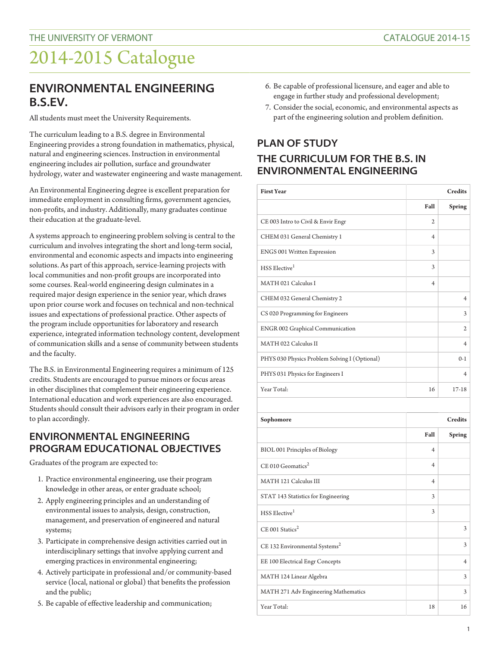## 2014-2015 Catalogue

### **ENVIRONMENTAL ENGINEERING B.S.EV.**

All students must meet the University Requirements.

The curriculum leading to a B.S. degree in Environmental Engineering provides a strong foundation in mathematics, physical, natural and engineering sciences. Instruction in environmental engineering includes air pollution, surface and groundwater hydrology, water and wastewater engineering and waste management.

An Environmental Engineering degree is excellent preparation for immediate employment in consulting firms, government agencies, non-profits, and industry. Additionally, many graduates continue their education at the graduate-level.

A systems approach to engineering problem solving is central to the curriculum and involves integrating the short and long-term social, environmental and economic aspects and impacts into engineering solutions. As part of this approach, service-learning projects with local communities and non-profit groups are incorporated into some courses. Real-world engineering design culminates in a required major design experience in the senior year, which draws upon prior course work and focuses on technical and non-technical issues and expectations of professional practice. Other aspects of the program include opportunities for laboratory and research experience, integrated information technology content, development of communication skills and a sense of community between students and the faculty.

The B.S. in Environmental Engineering requires a minimum of 125 credits. Students are encouraged to pursue minors or focus areas in other disciplines that complement their engineering experience. International education and work experiences are also encouraged. Students should consult their advisors early in their program in order to plan accordingly.

#### **ENVIRONMENTAL ENGINEERING PROGRAM EDUCATIONAL OBJECTIVES**

Graduates of the program are expected to:

- 1. Practice environmental engineering, use their program knowledge in other areas, or enter graduate school;
- 2. Apply engineering principles and an understanding of environmental issues to analysis, design, construction, management, and preservation of engineered and natural systems;
- 3. Participate in comprehensive design activities carried out in interdisciplinary settings that involve applying current and emerging practices in environmental engineering;
- 4. Actively participate in professional and/or community-based service (local, national or global) that benefits the profession and the public;
- 5. Be capable of effective leadership and communication;
- 6. Be capable of professional licensure, and eager and able to engage in further study and professional development;
- 7. Consider the social, economic, and environmental aspects as part of the engineering solution and problem definition.

#### **PLAN OF STUDY THE CURRICULUM FOR THE B.S. IN ENVIRONMENTAL ENGINEERING**

| <b>First Year</b>                             |                         | <b>Credits</b> |
|-----------------------------------------------|-------------------------|----------------|
|                                               | Fall                    | <b>Spring</b>  |
| CE 003 Intro to Civil & Envir Engr            | $\mathfrak{2}$          |                |
| CHEM 031 General Chemistry 1                  | $\overline{\mathbf{4}}$ |                |
| ENGS 001 Written Expression                   | 3                       |                |
| $HSS$ Elective <sup>1</sup>                   | 3                       |                |
| MATH 021 Calculus I                           | $\overline{4}$          |                |
| CHEM 032 General Chemistry 2                  |                         | $\overline{4}$ |
| CS 020 Programming for Engineers              |                         | 3              |
| <b>ENGR 002 Graphical Communication</b>       |                         | $\overline{c}$ |
| MATH 022 Calculus II                          |                         | $\overline{4}$ |
| PHYS 030 Physics Problem Solving I (Optional) |                         | $() - 1$       |
| PHYS 031 Physics for Engineers I              |                         | $\overline{4}$ |
| Year Total:                                   | 16                      | $17 - 18$      |
|                                               |                         |                |

| Sophomore                                 | <b>Credits</b> |                |
|-------------------------------------------|----------------|----------------|
|                                           | Fall           | <b>Spring</b>  |
| BIOL 001 Principles of Biology            | $\overline{4}$ |                |
| $CE$ 010 Geomatics <sup>2</sup>           | $\overline{4}$ |                |
| MATH 121 Calculus III                     | $\overline{4}$ |                |
| STAT 143 Statistics for Engineering       | 3              |                |
| HSS Elective <sup>1</sup>                 | 3              |                |
| $CE$ 001 Statics <sup>2</sup>             |                | 3              |
| CE 132 Environmental Systems <sup>2</sup> |                | 3              |
| EE 100 Electrical Engr Concepts           |                | $\overline{4}$ |
| MATH 124 Linear Algebra                   |                | 3              |
| MATH 271 Adv Engineering Mathematics      |                | 3              |
| Year Total:                               | 18             | 16             |